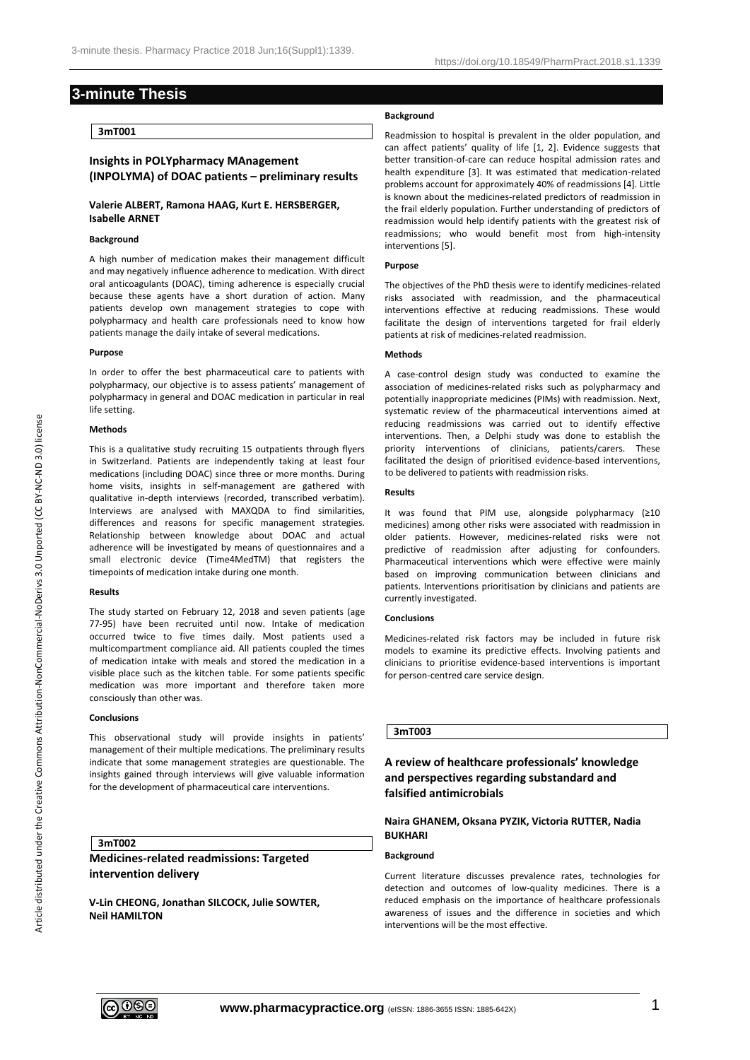# **3-minute Thesis**

# **3mT001**

# **Insights in POLYpharmacy MAnagement (INPOLYMA) of DOAC patients – preliminary results**

# **Valerie ALBERT, Ramona HAAG, Kurt E. HERSBERGER, Isabelle ARNET**

# **Background**

A high number of medication makes their management difficult and may negatively influence adherence to medication. With direct oral anticoagulants (DOAC), timing adherence is especially crucial because these agents have a short duration of action. Many patients develop own management strategies to cope with polypharmacy and health care professionals need to know how patients manage the daily intake of several medications.

### **Purpose**

In order to offer the best pharmaceutical care to patients with polypharmacy, our objective is to assess patients' management of polypharmacy in general and DOAC medication in particular in real life setting.

#### **Methods**

This is a qualitative study recruiting 15 outpatients through flyers in Switzerland. Patients are independently taking at least four medications (including DOAC) since three or more months. During home visits, insights in self-management are gathered with qualitative in-depth interviews (recorded, transcribed verbatim). Interviews are analysed with MAXQDA to find similarities, differences and reasons for specific management strategies. Relationship between knowledge about DOAC and actual adherence will be investigated by means of questionnaires and a small electronic device (Time4MedTM) that registers the timepoints of medication intake during one month.

#### **Results**

The study started on February 12, 2018 and seven patients (age 77-95) have been recruited until now. Intake of medication occurred twice to five times daily. Most patients used a multicompartment compliance aid. All patients coupled the times of medication intake with meals and stored the medication in a visible place such as the kitchen table. For some patients specific medication was more important and therefore taken more consciously than other was.

#### **Conclusions**

This observational study will provide insights in patients' management of their multiple medications. The preliminary results indicate that some management strategies are questionable. The insights gained through interviews will give valuable information for the development of pharmaceutical care interventions.

### **3mT002**

**Medicines-related readmissions: Targeted intervention delivery**

**V-Lin CHEONG, Jonathan SILCOCK, Julie SOWTER, Neil HAMILTON**

#### **Background**

Readmission to hospital is prevalent in the older population, and can affect patients' quality of life [1, 2]. Evidence suggests that better transition-of-care can reduce hospital admission rates and health expenditure [3]. It was estimated that medication-related problems account for approximately 40% of readmissions [4]. Little is known about the medicines-related predictors of readmission in the frail elderly population. Further understanding of predictors of readmission would help identify patients with the greatest risk of readmissions; who would benefit most from high-intensity interventions [5].

### **Purpose**

The objectives of the PhD thesis were to identify medicines-related risks associated with readmission, and the pharmaceutical interventions effective at reducing readmissions. These would facilitate the design of interventions targeted for frail elderly patients at risk of medicines-related readmission.

# **Methods**

A case-control design study was conducted to examine the association of medicines-related risks such as polypharmacy and potentially inappropriate medicines (PIMs) with readmission. Next, systematic review of the pharmaceutical interventions aimed at reducing readmissions was carried out to identify effective interventions. Then, a Delphi study was done to establish the priority interventions of clinicians, patients/carers. These facilitated the design of prioritised evidence-based interventions, to be delivered to patients with readmission risks.

#### **Results**

It was found that PIM use, alongside polypharmacy (≥10 medicines) among other risks were associated with readmission in older patients. However, medicines-related risks were not predictive of readmission after adjusting for confounders. Pharmaceutical interventions which were effective were mainly based on improving communication between clinicians and patients. Interventions prioritisation by clinicians and patients are currently investigated.

# **Conclusions**

Medicines-related risk factors may be included in future risk models to examine its predictive effects. Involving patients and clinicians to prioritise evidence-based interventions is important for person-centred care service design.

# **3mT003**

# **A review of healthcare professionals' knowledge and perspectives regarding substandard and falsified antimicrobials**

# **Naira GHANEM, Oksana PYZIK, Victoria RUTTER, Nadia BUKHARI**

#### **Background**

Current literature discusses prevalence rates, technologies for detection and outcomes of low-quality medicines. There is a reduced emphasis on the importance of healthcare professionals awareness of issues and the difference in societies and which interventions will be the most effective.

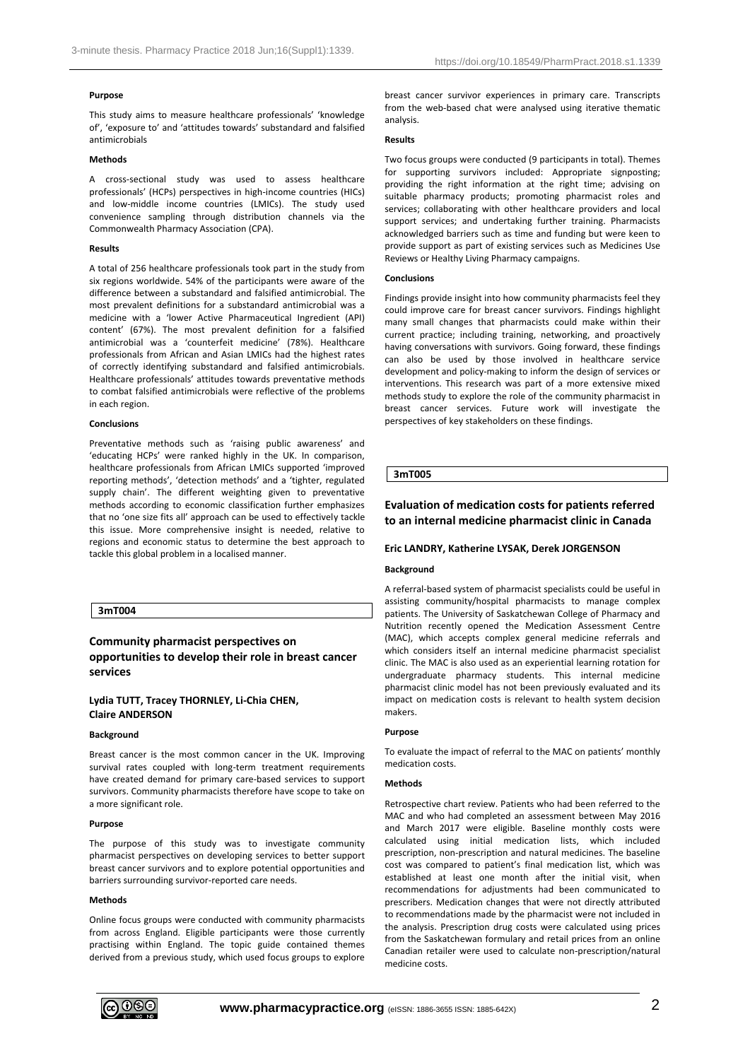# **Purpose**

This study aims to measure healthcare professionals' 'knowledge of', 'exposure to' and 'attitudes towards' substandard and falsified antimicrobials

# **Methods**

A cross-sectional study was used to assess healthcare professionals' (HCPs) perspectives in high-income countries (HICs) and low-middle income countries (LMICs). The study used convenience sampling through distribution channels via the Commonwealth Pharmacy Association (CPA).

#### **Results**

A total of 256 healthcare professionals took part in the study from six regions worldwide. 54% of the participants were aware of the difference between a substandard and falsified antimicrobial. The most prevalent definitions for a substandard antimicrobial was a medicine with a 'lower Active Pharmaceutical Ingredient (API) content' (67%). The most prevalent definition for a falsified antimicrobial was a 'counterfeit medicine' (78%). Healthcare professionals from African and Asian LMICs had the highest rates of correctly identifying substandard and falsified antimicrobials. Healthcare professionals' attitudes towards preventative methods to combat falsified antimicrobials were reflective of the problems in each region.

### **Conclusions**

Preventative methods such as 'raising public awareness' and 'educating HCPs' were ranked highly in the UK. In comparison, healthcare professionals from African LMICs supported 'improved reporting methods', 'detection methods' and a 'tighter, regulated supply chain'. The different weighting given to preventative methods according to economic classification further emphasizes that no 'one size fits all' approach can be used to effectively tackle this issue. More comprehensive insight is needed, relative to regions and economic status to determine the best approach to tackle this global problem in a localised manner.

# **3mT004**

# **Community pharmacist perspectives on opportunities to develop their role in breast cancer services**

# **Lydia TUTT, Tracey THORNLEY, Li-Chia CHEN, Claire ANDERSON**

### **Background**

Breast cancer is the most common cancer in the UK. Improving survival rates coupled with long-term treatment requirements have created demand for primary care-based services to support survivors. Community pharmacists therefore have scope to take on a more significant role.

## **Purpose**

The purpose of this study was to investigate community pharmacist perspectives on developing services to better support breast cancer survivors and to explore potential opportunities and barriers surrounding survivor-reported care needs.

#### **Methods**

Online focus groups were conducted with community pharmacists from across England. Eligible participants were those currently practising within England. The topic guide contained themes derived from a previous study, which used focus groups to explore breast cancer survivor experiences in primary care. Transcripts from the web-based chat were analysed using iterative thematic analysis.

#### **Results**

Two focus groups were conducted (9 participants in total). Themes for supporting survivors included: Appropriate signposting; providing the right information at the right time; advising on suitable pharmacy products; promoting pharmacist roles and services; collaborating with other healthcare providers and local support services; and undertaking further training. Pharmacists acknowledged barriers such as time and funding but were keen to provide support as part of existing services such as Medicines Use Reviews or Healthy Living Pharmacy campaigns.

## **Conclusions**

Findings provide insight into how community pharmacists feel they could improve care for breast cancer survivors. Findings highlight many small changes that pharmacists could make within their current practice; including training, networking, and proactively having conversations with survivors. Going forward, these findings can also be used by those involved in healthcare service development and policy-making to inform the design of services or interventions. This research was part of a more extensive mixed methods study to explore the role of the community pharmacist in breast cancer services. Future work will investigate the perspectives of key stakeholders on these findings.

# **3mT005**

# **Evaluation of medication costs for patients referred to an internal medicine pharmacist clinic in Canada**

### **Eric LANDRY, Katherine LYSAK, Derek JORGENSON**

### **Background**

A referral-based system of pharmacist specialists could be useful in assisting community/hospital pharmacists to manage complex patients. The University of Saskatchewan College of Pharmacy and Nutrition recently opened the Medication Assessment Centre (MAC), which accepts complex general medicine referrals and which considers itself an internal medicine pharmacist specialist clinic. The MAC is also used as an experiential learning rotation for undergraduate pharmacy students. This internal medicine pharmacist clinic model has not been previously evaluated and its impact on medication costs is relevant to health system decision makers.

#### **Purpose**

To evaluate the impact of referral to the MAC on patients' monthly medication costs.

# **Methods**

Retrospective chart review. Patients who had been referred to the MAC and who had completed an assessment between May 2016 and March 2017 were eligible. Baseline monthly costs were calculated using initial medication lists, which included prescription, non-prescription and natural medicines. The baseline cost was compared to patient's final medication list, which was established at least one month after the initial visit, when recommendations for adjustments had been communicated to prescribers. Medication changes that were not directly attributed to recommendations made by the pharmacist were not included in the analysis. Prescription drug costs were calculated using prices from the Saskatchewan formulary and retail prices from an online Canadian retailer were used to calculate non-prescription/natural medicine costs.

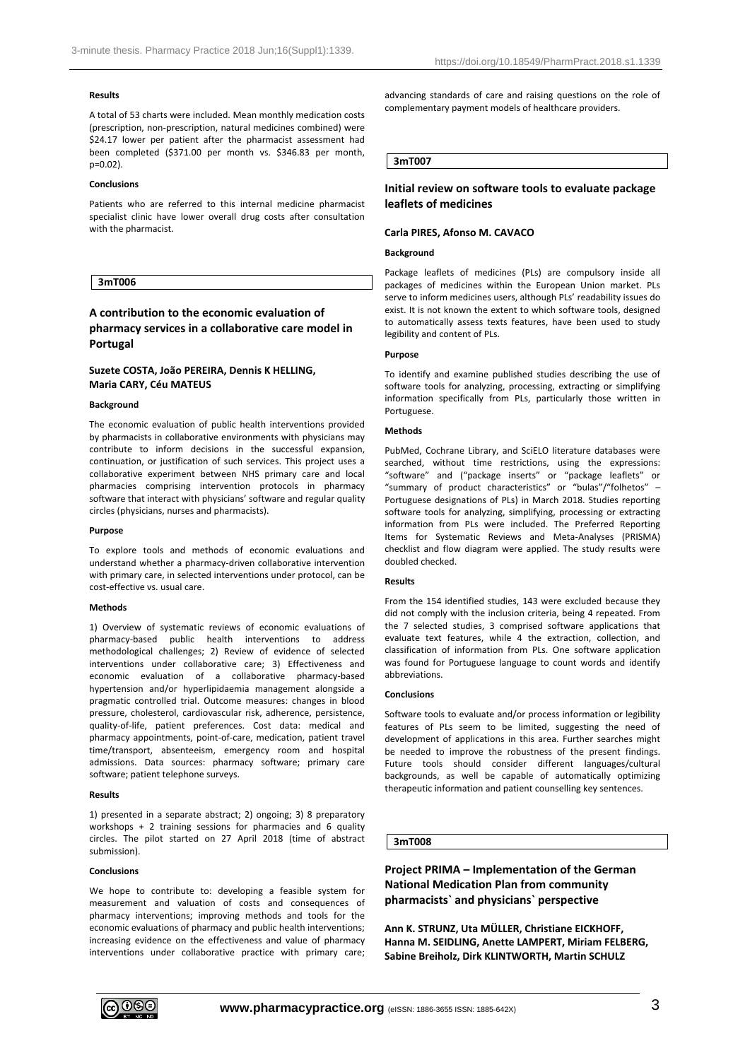# **Results**

A total of 53 charts were included. Mean monthly medication costs (prescription, non-prescription, natural medicines combined) were \$24.17 lower per patient after the pharmacist assessment had been completed (\$371.00 per month vs. \$346.83 per month, p=0.02).

# **Conclusions**

Patients who are referred to this internal medicine pharmacist specialist clinic have lower overall drug costs after consultation with the pharmacist.

### **3mT006**

# **A contribution to the economic evaluation of pharmacy services in a collaborative care model in Portugal**

# **Suzete COSTA, João PEREIRA, Dennis K HELLING, Maria CARY, Céu MATEUS**

### **Background**

The economic evaluation of public health interventions provided by pharmacists in collaborative environments with physicians may contribute to inform decisions in the successful expansion, continuation, or justification of such services. This project uses a collaborative experiment between NHS primary care and local pharmacies comprising intervention protocols in pharmacy software that interact with physicians' software and regular quality circles (physicians, nurses and pharmacists).

### **Purpose**

To explore tools and methods of economic evaluations and understand whether a pharmacy-driven collaborative intervention with primary care, in selected interventions under protocol, can be cost-effective vs. usual care.

#### **Methods**

1) Overview of systematic reviews of economic evaluations of pharmacy-based public health interventions to address methodological challenges; 2) Review of evidence of selected interventions under collaborative care; 3) Effectiveness and economic evaluation of a collaborative pharmacy-based hypertension and/or hyperlipidaemia management alongside a pragmatic controlled trial. Outcome measures: changes in blood pressure, cholesterol, cardiovascular risk, adherence, persistence, quality-of-life, patient preferences. Cost data: medical and pharmacy appointments, point-of-care, medication, patient travel time/transport, absenteeism, emergency room and hospital admissions. Data sources: pharmacy software; primary care software; patient telephone surveys.

#### **Results**

1) presented in a separate abstract; 2) ongoing; 3) 8 preparatory workshops + 2 training sessions for pharmacies and 6 quality circles. The pilot started on 27 April 2018 (time of abstract submission).

#### **Conclusions**

We hope to contribute to: developing a feasible system for measurement and valuation of costs and consequences of pharmacy interventions; improving methods and tools for the economic evaluations of pharmacy and public health interventions; increasing evidence on the effectiveness and value of pharmacy interventions under collaborative practice with primary care; advancing standards of care and raising questions on the role of complementary payment models of healthcare providers.

# **3mT007**

# **Initial review on software tools to evaluate package leaflets of medicines**

#### **Carla PIRES, Afonso M. CAVACO**

## **Background**

Package leaflets of medicines (PLs) are compulsory inside all packages of medicines within the European Union market. PLs serve to inform medicines users, although PLs' readability issues do exist. It is not known the extent to which software tools, designed to automatically assess texts features, have been used to study legibility and content of PLs.

## **Purpose**

To identify and examine published studies describing the use of software tools for analyzing, processing, extracting or simplifying information specifically from PLs, particularly those written in Portuguese.

### **Methods**

PubMed, Cochrane Library, and SciELO literature databases were searched, without time restrictions, using the expressions: "software" and ("package inserts" or "package leaflets" or "summary of product characteristics" or "bulas"/"folhetos" – Portuguese designations of PLs) in March 2018. Studies reporting software tools for analyzing, simplifying, processing or extracting information from PLs were included. The Preferred Reporting Items for Systematic Reviews and Meta-Analyses (PRISMA) checklist and flow diagram were applied. The study results were doubled checked.

#### **Results**

From the 154 identified studies, 143 were excluded because they did not comply with the inclusion criteria, being 4 repeated. From the 7 selected studies, 3 comprised software applications that evaluate text features, while 4 the extraction, collection, and classification of information from PLs. One software application was found for Portuguese language to count words and identify abbreviations.

### **Conclusions**

Software tools to evaluate and/or process information or legibility features of PLs seem to be limited, suggesting the need of development of applications in this area. Further searches might be needed to improve the robustness of the present findings. Future tools should consider different languages/cultural backgrounds, as well be capable of automatically optimizing therapeutic information and patient counselling key sentences.

# **3mT008**

**Project PRIMA – Implementation of the German National Medication Plan from community pharmacists` and physicians` perspective**

**Ann K. STRUNZ, Uta MÜLLER, Christiane EICKHOFF, Hanna M. SEIDLING, Anette LAMPERT, Miriam FELBERG, Sabine Breiholz, Dirk KLINTWORTH, Martin SCHULZ**

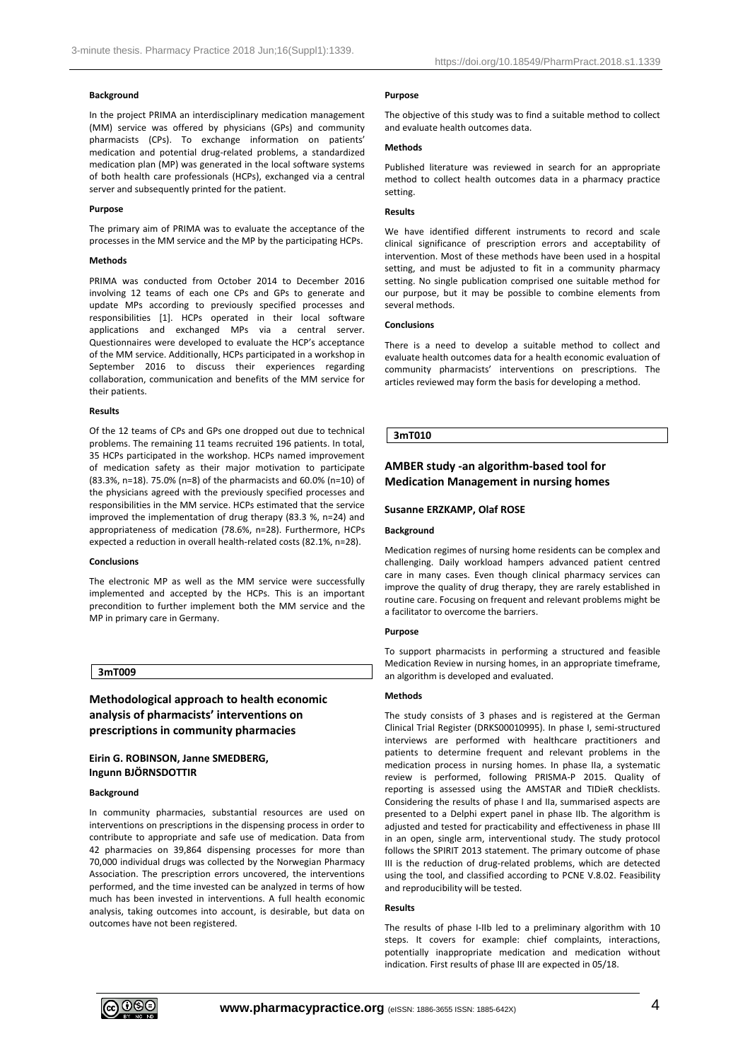# **Background**

In the project PRIMA an interdisciplinary medication management (MM) service was offered by physicians (GPs) and community pharmacists (CPs). To exchange information on patients' medication and potential drug-related problems, a standardized medication plan (MP) was generated in the local software systems of both health care professionals (HCPs), exchanged via a central server and subsequently printed for the patient.

### **Purpose**

The primary aim of PRIMA was to evaluate the acceptance of the processes in the MM service and the MP by the participating HCPs.

### **Methods**

PRIMA was conducted from October 2014 to December 2016 involving 12 teams of each one CPs and GPs to generate and update MPs according to previously specified processes and responsibilities [1]. HCPs operated in their local software applications and exchanged MPs via a central server. Questionnaires were developed to evaluate the HCP's acceptance of the MM service. Additionally, HCPs participated in a workshop in September 2016 to discuss their experiences regarding collaboration, communication and benefits of the MM service for their patients.

#### **Results**

Of the 12 teams of CPs and GPs one dropped out due to technical problems. The remaining 11 teams recruited 196 patients. In total, 35 HCPs participated in the workshop. HCPs named improvement of medication safety as their major motivation to participate (83.3%, n=18). 75.0% (n=8) of the pharmacists and 60.0% (n=10) of the physicians agreed with the previously specified processes and responsibilities in the MM service. HCPs estimated that the service improved the implementation of drug therapy (83.3 %, n=24) and appropriateness of medication (78.6%, n=28). Furthermore, HCPs expected a reduction in overall health-related costs (82.1%, n=28).

### **Conclusions**

The electronic MP as well as the MM service were successfully implemented and accepted by the HCPs. This is an important precondition to further implement both the MM service and the MP in primary care in Germany.

### **3mT009**

**Methodological approach to health economic analysis of pharmacists' interventions on prescriptions in community pharmacies**

# **Eirin G. ROBINSON, Janne SMEDBERG, Ingunn BJÖRNSDOTTIR**

#### **Background**

In community pharmacies, substantial resources are used on interventions on prescriptions in the dispensing process in order to contribute to appropriate and safe use of medication. Data from 42 pharmacies on 39,864 dispensing processes for more than 70,000 individual drugs was collected by the Norwegian Pharmacy Association. The prescription errors uncovered, the interventions performed, and the time invested can be analyzed in terms of how much has been invested in interventions. A full health economic analysis, taking outcomes into account, is desirable, but data on outcomes have not been registered.

## **Purpose**

The objective of this study was to find a suitable method to collect and evaluate health outcomes data.

# **Methods**

Published literature was reviewed in search for an appropriate method to collect health outcomes data in a pharmacy practice setting.

# **Results**

We have identified different instruments to record and scale clinical significance of prescription errors and acceptability of intervention. Most of these methods have been used in a hospital setting, and must be adjusted to fit in a community pharmacy setting. No single publication comprised one suitable method for our purpose, but it may be possible to combine elements from several methods.

# **Conclusions**

There is a need to develop a suitable method to collect and evaluate health outcomes data for a health economic evaluation of community pharmacists' interventions on prescriptions. The articles reviewed may form the basis for developing a method.

### **3mT010**

# **AMBER study -an algorithm-based tool for Medication Management in nursing homes**

## **Susanne ERZKAMP, Olaf ROSE**

# **Background**

Medication regimes of nursing home residents can be complex and challenging. Daily workload hampers advanced patient centred care in many cases. Even though clinical pharmacy services can improve the quality of drug therapy, they are rarely established in routine care. Focusing on frequent and relevant problems might be a facilitator to overcome the barriers.

#### **Purpose**

To support pharmacists in performing a structured and feasible Medication Review in nursing homes, in an appropriate timeframe, an algorithm is developed and evaluated.

# **Methods**

The study consists of 3 phases and is registered at the German Clinical Trial Register (DRKS00010995). In phase I, semi-structured interviews are performed with healthcare practitioners and patients to determine frequent and relevant problems in the medication process in nursing homes. In phase IIa, a systematic review is performed, following PRISMA-P 2015. Quality of reporting is assessed using the AMSTAR and TIDieR checklists. Considering the results of phase I and IIa, summarised aspects are presented to a Delphi expert panel in phase IIb. The algorithm is adjusted and tested for practicability and effectiveness in phase III in an open, single arm, interventional study. The study protocol follows the SPIRIT 2013 statement. The primary outcome of phase III is the reduction of drug-related problems, which are detected using the tool, and classified according to PCNE V.8.02. Feasibility and reproducibility will be tested.

#### **Results**

The results of phase I-IIb led to a preliminary algorithm with 10 steps. It covers for example: chief complaints, interactions, potentially inappropriate medication and medication without indication. First results of phase III are expected in 05/18.

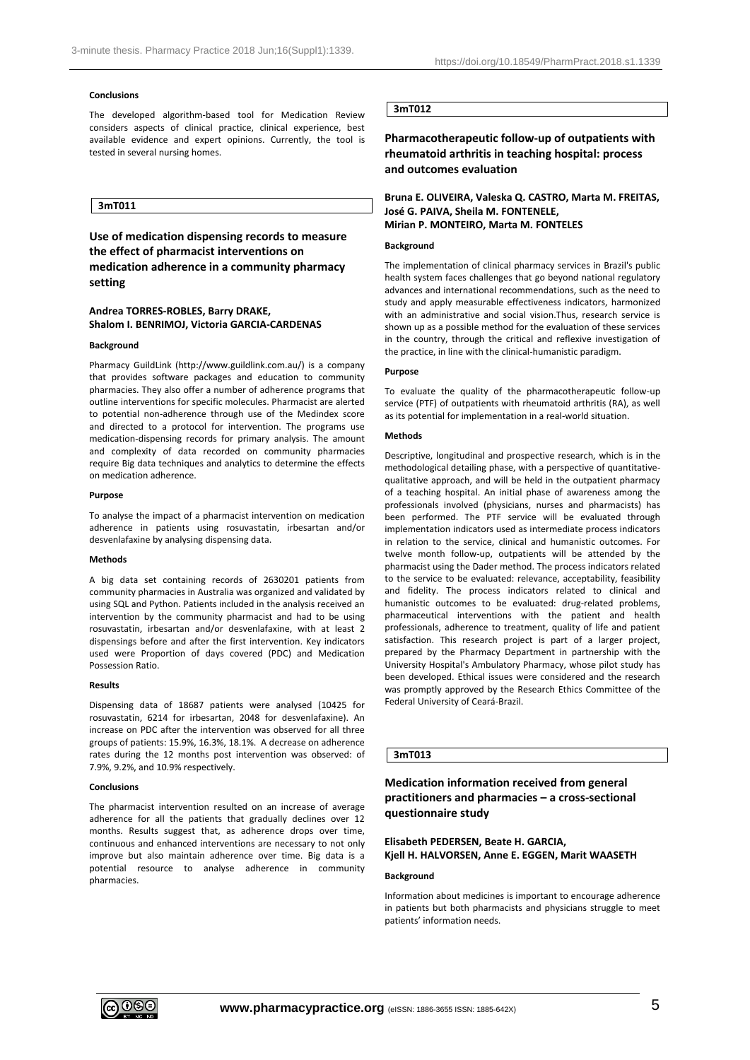### **Conclusions**

The developed algorithm-based tool for Medication Review considers aspects of clinical practice, clinical experience, best available evidence and expert opinions. Currently, the tool is tested in several nursing homes.

# **3mT011**

**Use of medication dispensing records to measure the effect of pharmacist interventions on medication adherence in a community pharmacy setting**

# **Andrea TORRES-ROBLES, Barry DRAKE, Shalom I. BENRIMOJ, Victoria GARCIA-CARDENAS**

#### **Background**

Pharmacy GuildLink (http://www.guildlink.com.au/) is a company that provides software packages and education to community pharmacies. They also offer a number of adherence programs that outline interventions for specific molecules. Pharmacist are alerted to potential non-adherence through use of the Medindex score and directed to a protocol for intervention. The programs use medication-dispensing records for primary analysis. The amount and complexity of data recorded on community pharmacies require Big data techniques and analytics to determine the effects on medication adherence.

#### **Purpose**

To analyse the impact of a pharmacist intervention on medication adherence in patients using rosuvastatin, irbesartan and/or desvenlafaxine by analysing dispensing data.

#### **Methods**

A big data set containing records of 2630201 patients from community pharmacies in Australia was organized and validated by using SQL and Python. Patients included in the analysis received an intervention by the community pharmacist and had to be using rosuvastatin, irbesartan and/or desvenlafaxine, with at least 2 dispensings before and after the first intervention. Key indicators used were Proportion of days covered (PDC) and Medication Possession Ratio.

### **Results**

Dispensing data of 18687 patients were analysed (10425 for rosuvastatin, 6214 for irbesartan, 2048 for desvenlafaxine). An increase on PDC after the intervention was observed for all three groups of patients: 15.9%, 16.3%, 18.1%. A decrease on adherence rates during the 12 months post intervention was observed: of 7.9%, 9.2%, and 10.9% respectively.

#### **Conclusions**

The pharmacist intervention resulted on an increase of average adherence for all the patients that gradually declines over 12 months. Results suggest that, as adherence drops over time, continuous and enhanced interventions are necessary to not only improve but also maintain adherence over time. Big data is a potential resource to analyse adherence in community pharmacies.

# **3mT012**

**Pharmacotherapeutic follow-up of outpatients with rheumatoid arthritis in teaching hospital: process and outcomes evaluation**

# **Bruna E. OLIVEIRA, Valeska Q. CASTRO, Marta M. FREITAS, José G. PAIVA, Sheila M. FONTENELE, Mirian P. MONTEIRO, Marta M. FONTELES**

### **Background**

The implementation of clinical pharmacy services in Brazil's public health system faces challenges that go beyond national regulatory advances and international recommendations, such as the need to study and apply measurable effectiveness indicators, harmonized with an administrative and social vision.Thus, research service is shown up as a possible method for the evaluation of these services in the country, through the critical and reflexive investigation of the practice, in line with the clinical-humanistic paradigm.

#### **Purpose**

To evaluate the quality of the pharmacotherapeutic follow-up service (PTF) of outpatients with rheumatoid arthritis (RA), as well as its potential for implementation in a real-world situation.

### **Methods**

Descriptive, longitudinal and prospective research, which is in the methodological detailing phase, with a perspective of quantitativequalitative approach, and will be held in the outpatient pharmacy of a teaching hospital. An initial phase of awareness among the professionals involved (physicians, nurses and pharmacists) has been performed. The PTF service will be evaluated through implementation indicators used as intermediate process indicators in relation to the service, clinical and humanistic outcomes. For twelve month follow-up, outpatients will be attended by the pharmacist using the Dader method. The process indicators related to the service to be evaluated: relevance, acceptability, feasibility and fidelity. The process indicators related to clinical and humanistic outcomes to be evaluated: drug-related problems, pharmaceutical interventions with the patient and health professionals, adherence to treatment, quality of life and patient satisfaction. This research project is part of a larger project, prepared by the Pharmacy Department in partnership with the University Hospital's Ambulatory Pharmacy, whose pilot study has been developed. Ethical issues were considered and the research was promptly approved by the Research Ethics Committee of the Federal University of Ceará-Brazil.

# **3mT013**

**Medication information received from general practitioners and pharmacies – a cross-sectional questionnaire study**

# **Elisabeth PEDERSEN, Beate H. GARCIA, Kjell H. HALVORSEN, Anne E. EGGEN, Marit WAASETH**

### **Background**

Information about medicines is important to encourage adherence in patients but both pharmacists and physicians struggle to meet patients' information needs.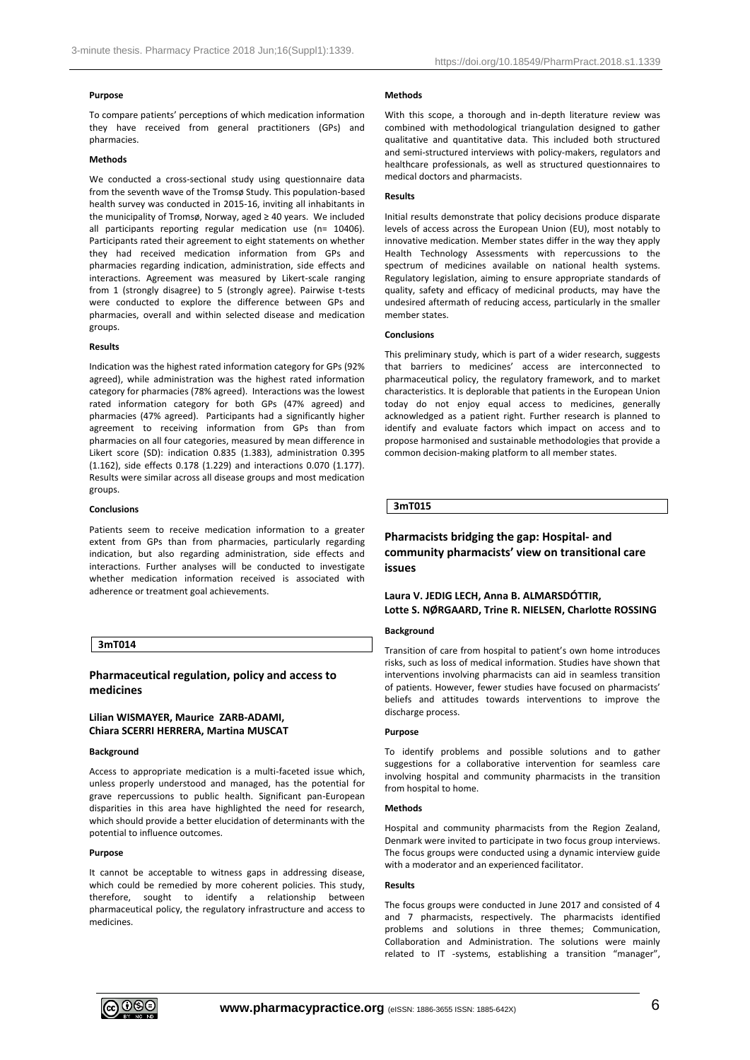## **Purpose**

To compare patients' perceptions of which medication information they have received from general practitioners (GPs) and pharmacies.

# **Methods**

We conducted a cross-sectional study using questionnaire data from the seventh wave of the Tromsø Study. This population-based health survey was conducted in 2015-16, inviting all inhabitants in the municipality of Tromsø, Norway, aged ≥ 40 years. We included all participants reporting regular medication use (n= 10406). Participants rated their agreement to eight statements on whether they had received medication information from GPs and pharmacies regarding indication, administration, side effects and interactions. Agreement was measured by Likert-scale ranging from 1 (strongly disagree) to 5 (strongly agree). Pairwise t-tests were conducted to explore the difference between GPs and pharmacies, overall and within selected disease and medication groups.

#### **Results**

Indication was the highest rated information category for GPs (92% agreed), while administration was the highest rated information category for pharmacies (78% agreed). Interactions was the lowest rated information category for both GPs (47% agreed) and pharmacies (47% agreed). Participants had a significantly higher agreement to receiving information from GPs than from pharmacies on all four categories, measured by mean difference in Likert score (SD): indication 0.835 (1.383), administration 0.395 (1.162), side effects 0.178 (1.229) and interactions 0.070 (1.177). Results were similar across all disease groups and most medication groups.

### **Conclusions**

Patients seem to receive medication information to a greater extent from GPs than from pharmacies, particularly regarding indication, but also regarding administration, side effects and interactions. Further analyses will be conducted to investigate whether medication information received is associated with adherence or treatment goal achievements.

# **3mT014**

# **Pharmaceutical regulation, policy and access to medicines**

# **Lilian WISMAYER, Maurice ZARB-ADAMI, Chiara SCERRI HERRERA, Martina MUSCAT**

#### **Background**

Access to appropriate medication is a multi-faceted issue which, unless properly understood and managed, has the potential for grave repercussions to public health. Significant pan-European disparities in this area have highlighted the need for research, which should provide a better elucidation of determinants with the potential to influence outcomes.

#### **Purpose**

It cannot be acceptable to witness gaps in addressing disease, which could be remedied by more coherent policies. This study, therefore, sought to identify a relationship between pharmaceutical policy, the regulatory infrastructure and access to medicines.

#### **Methods**

With this scope, a thorough and in-depth literature review was combined with methodological triangulation designed to gather qualitative and quantitative data. This included both structured and semi-structured interviews with policy-makers, regulators and healthcare professionals, as well as structured questionnaires to medical doctors and pharmacists.

### **Results**

Initial results demonstrate that policy decisions produce disparate levels of access across the European Union (EU), most notably to innovative medication. Member states differ in the way they apply Health Technology Assessments with repercussions to the spectrum of medicines available on national health systems. Regulatory legislation, aiming to ensure appropriate standards of quality, safety and efficacy of medicinal products, may have the undesired aftermath of reducing access, particularly in the smaller member states.

### **Conclusions**

This preliminary study, which is part of a wider research, suggests that barriers to medicines' access are interconnected to pharmaceutical policy, the regulatory framework, and to market characteristics. It is deplorable that patients in the European Union today do not enjoy equal access to medicines, generally acknowledged as a patient right. Further research is planned to identify and evaluate factors which impact on access and to propose harmonised and sustainable methodologies that provide a common decision-making platform to all member states.

# **3mT015**

# **Pharmacists bridging the gap: Hospital- and community pharmacists' view on transitional care issues**

# **Laura V. JEDIG LECH, Anna B. ALMARSDÓTTIR, Lotte S. NØRGAARD, Trine R. NIELSEN, Charlotte ROSSING**

#### **Background**

Transition of care from hospital to patient's own home introduces risks, such as loss of medical information. Studies have shown that interventions involving pharmacists can aid in seamless transition of patients. However, fewer studies have focused on pharmacists' beliefs and attitudes towards interventions to improve the discharge process.

#### **Purpose**

To identify problems and possible solutions and to gather suggestions for a collaborative intervention for seamless care involving hospital and community pharmacists in the transition from hospital to home.

# **Methods**

Hospital and community pharmacists from the Region Zealand, Denmark were invited to participate in two focus group interviews. The focus groups were conducted using a dynamic interview guide with a moderator and an experienced facilitator.

### **Results**

The focus groups were conducted in June 2017 and consisted of 4 and 7 pharmacists, respectively. The pharmacists identified problems and solutions in three themes; Communication, Collaboration and Administration. The solutions were mainly related to IT -systems, establishing a transition "manager",

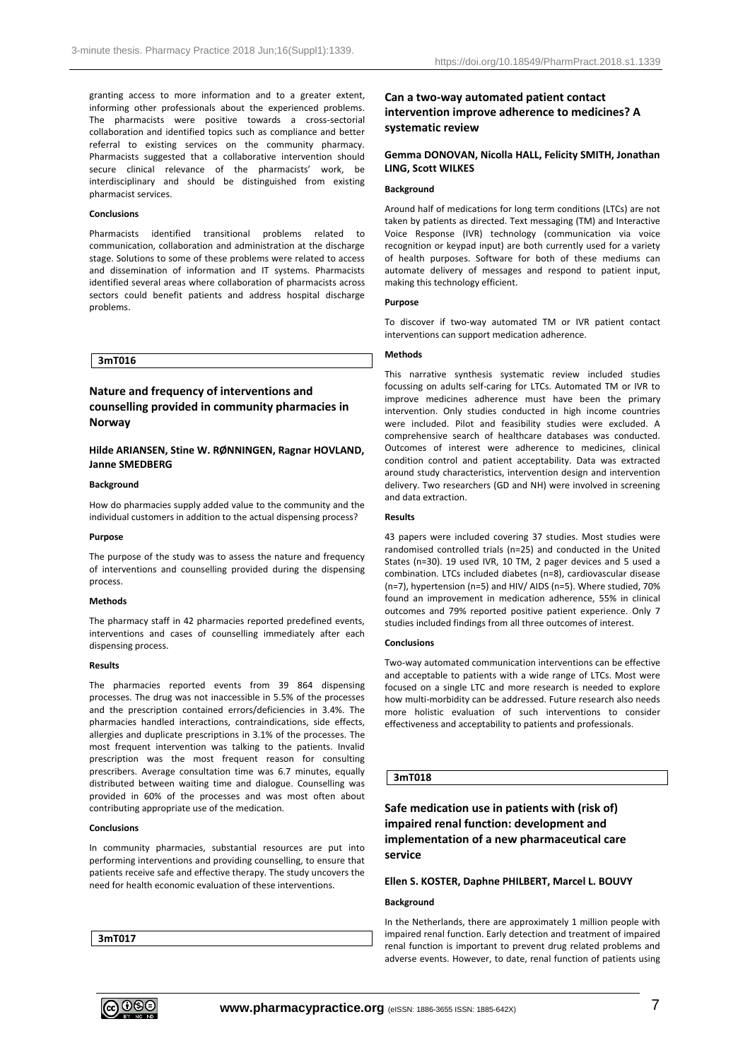granting access to more information and to a greater extent, informing other professionals about the experienced problems. The pharmacists were positive towards a cross-sectorial collaboration and identified topics such as compliance and better referral to existing services on the community pharmacy. Pharmacists suggested that a collaborative intervention should secure clinical relevance of the pharmacists' work, be interdisciplinary and should be distinguished from existing pharmacist services.

# **Conclusions**

Pharmacists identified transitional problems related to communication, collaboration and administration at the discharge stage. Solutions to some of these problems were related to access and dissemination of information and IT systems. Pharmacists identified several areas where collaboration of pharmacists across sectors could benefit patients and address hospital discharge problems.

## **3mT016**

# **Nature and frequency of interventions and counselling provided in community pharmacies in Norway**

# **Hilde ARIANSEN, Stine W. RØNNINGEN, Ragnar HOVLAND, Janne SMEDBERG**

#### **Background**

How do pharmacies supply added value to the community and the individual customers in addition to the actual dispensing process?

#### **Purpose**

The purpose of the study was to assess the nature and frequency of interventions and counselling provided during the dispensing process.

#### **Methods**

The pharmacy staff in 42 pharmacies reported predefined events, interventions and cases of counselling immediately after each dispensing process.

### **Results**

The pharmacies reported events from 39 864 dispensing processes. The drug was not inaccessible in 5.5% of the processes and the prescription contained errors/deficiencies in 3.4%. The pharmacies handled interactions, contraindications, side effects, allergies and duplicate prescriptions in 3.1% of the processes. The most frequent intervention was talking to the patients. Invalid prescription was the most frequent reason for consulting prescribers. Average consultation time was 6.7 minutes, equally distributed between waiting time and dialogue. Counselling was provided in 60% of the processes and was most often about contributing appropriate use of the medication.

#### **Conclusions**

In community pharmacies, substantial resources are put into performing interventions and providing counselling, to ensure that patients receive safe and effective therapy. The study uncovers the need for health economic evaluation of these interventions.

# **3mT017**

**Can a two-way automated patient contact intervention improve adherence to medicines? A systematic review**

# **Gemma DONOVAN, Nicolla HALL, Felicity SMITH, Jonathan LING, Scott WILKES**

# **Background**

Around half of medications for long term conditions (LTCs) are not taken by patients as directed. Text messaging (TM) and Interactive Voice Response (IVR) technology (communication via voice recognition or keypad input) are both currently used for a variety of health purposes. Software for both of these mediums can automate delivery of messages and respond to patient input, making this technology efficient.

# **Purpose**

To discover if two-way automated TM or IVR patient contact interventions can support medication adherence.

### **Methods**

This narrative synthesis systematic review included studies focussing on adults self-caring for LTCs. Automated TM or IVR to improve medicines adherence must have been the primary intervention. Only studies conducted in high income countries were included. Pilot and feasibility studies were excluded. A comprehensive search of healthcare databases was conducted. Outcomes of interest were adherence to medicines, clinical condition control and patient acceptability. Data was extracted around study characteristics, intervention design and intervention delivery. Two researchers (GD and NH) were involved in screening and data extraction.

### **Results**

43 papers were included covering 37 studies. Most studies were randomised controlled trials (n=25) and conducted in the United States (n=30). 19 used IVR, 10 TM, 2 pager devices and 5 used a combination. LTCs included diabetes (n=8), cardiovascular disease (n=7), hypertension (n=5) and HIV/ AIDS (n=5). Where studied, 70% found an improvement in medication adherence, 55% in clinical outcomes and 79% reported positive patient experience. Only 7 studies included findings from all three outcomes of interest.

# **Conclusions**

Two-way automated communication interventions can be effective and acceptable to patients with a wide range of LTCs. Most were focused on a single LTC and more research is needed to explore how multi-morbidity can be addressed. Future research also needs more holistic evaluation of such interventions to consider effectiveness and acceptability to patients and professionals.

# **3mT018**

**Safe medication use in patients with (risk of) impaired renal function: development and implementation of a new pharmaceutical care service**

## **Ellen S. KOSTER, Daphne PHILBERT, Marcel L. BOUVY**

# **Background**

In the Netherlands, there are approximately 1 million people with impaired renal function. Early detection and treatment of impaired renal function is important to prevent drug related problems and adverse events. However, to date, renal function of patients using

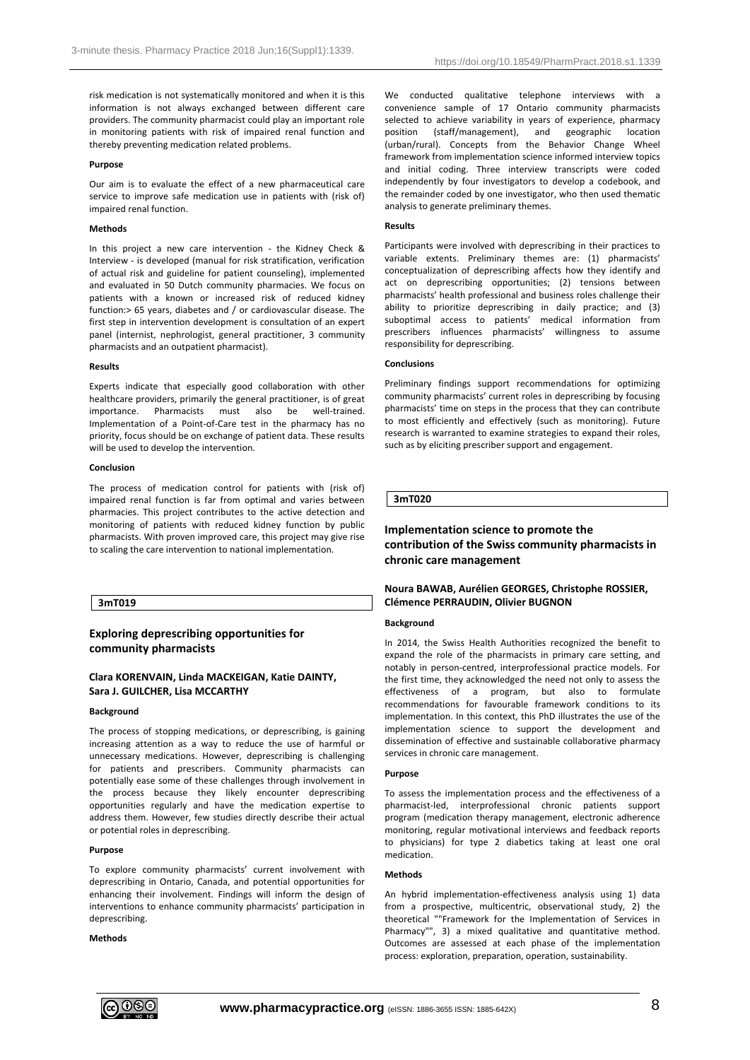risk medication is not systematically monitored and when it is this information is not always exchanged between different care providers. The community pharmacist could play an important role in monitoring patients with risk of impaired renal function and thereby preventing medication related problems.

### **Purpose**

Our aim is to evaluate the effect of a new pharmaceutical care service to improve safe medication use in patients with (risk of) impaired renal function.

## **Methods**

In this project a new care intervention - the Kidney Check & Interview - is developed (manual for risk stratification, verification of actual risk and guideline for patient counseling), implemented and evaluated in 50 Dutch community pharmacies. We focus on patients with a known or increased risk of reduced kidney function:> 65 years, diabetes and / or cardiovascular disease. The first step in intervention development is consultation of an expert panel (internist, nephrologist, general practitioner, 3 community pharmacists and an outpatient pharmacist).

#### **Results**

Experts indicate that especially good collaboration with other healthcare providers, primarily the general practitioner, is of great importance. Pharmacists must also be well-trained. Implementation of a Point-of-Care test in the pharmacy has no priority, focus should be on exchange of patient data. These results will be used to develop the intervention.

#### **Conclusion**

The process of medication control for patients with (risk of) impaired renal function is far from optimal and varies between pharmacies. This project contributes to the active detection and monitoring of patients with reduced kidney function by public pharmacists. With proven improved care, this project may give rise to scaling the care intervention to national implementation.

## **3mT019**

# **Exploring deprescribing opportunities for community pharmacists**

# **Clara KORENVAIN, Linda MACKEIGAN, Katie DAINTY, Sara J. GUILCHER, Lisa MCCARTHY**

## **Background**

The process of stopping medications, or deprescribing, is gaining increasing attention as a way to reduce the use of harmful or unnecessary medications. However, deprescribing is challenging for patients and prescribers. Community pharmacists can potentially ease some of these challenges through involvement in the process because they likely encounter deprescribing opportunities regularly and have the medication expertise to address them. However, few studies directly describe their actual or potential roles in deprescribing.

#### **Purpose**

To explore community pharmacists' current involvement with deprescribing in Ontario, Canada, and potential opportunities for enhancing their involvement. Findings will inform the design of interventions to enhance community pharmacists' participation in deprescribing.

#### **Methods**

We conducted qualitative telephone interviews with a convenience sample of 17 Ontario community pharmacists selected to achieve variability in years of experience, pharmacy position (staff/management), and geographic location (urban/rural). Concepts from the Behavior Change Wheel framework from implementation science informed interview topics and initial coding. Three interview transcripts were coded independently by four investigators to develop a codebook, and the remainder coded by one investigator, who then used thematic analysis to generate preliminary themes.

# **Results**

Participants were involved with deprescribing in their practices to variable extents. Preliminary themes are: (1) pharmacists' conceptualization of deprescribing affects how they identify and act on deprescribing opportunities; (2) tensions between pharmacists' health professional and business roles challenge their ability to prioritize deprescribing in daily practice; and (3) suboptimal access to patients' medical information from prescribers influences pharmacists' willingness to assume responsibility for deprescribing.

### **Conclusions**

Preliminary findings support recommendations for optimizing community pharmacists' current roles in deprescribing by focusing pharmacists' time on steps in the process that they can contribute to most efficiently and effectively (such as monitoring). Future research is warranted to examine strategies to expand their roles, such as by eliciting prescriber support and engagement.

# **3mT020**

# **Implementation science to promote the contribution of the Swiss community pharmacists in chronic care management**

# **Noura BAWAB, Aurélien GEORGES, Christophe ROSSIER, Clémence PERRAUDIN, Olivier BUGNON**

#### **Background**

In 2014, the Swiss Health Authorities recognized the benefit to expand the role of the pharmacists in primary care setting, and notably in person-centred, interprofessional practice models. For the first time, they acknowledged the need not only to assess the effectiveness of a program, but also to formulate recommendations for favourable framework conditions to its implementation. In this context, this PhD illustrates the use of the implementation science to support the development and dissemination of effective and sustainable collaborative pharmacy services in chronic care management.

### **Purpose**

To assess the implementation process and the effectiveness of a pharmacist-led, interprofessional chronic patients support program (medication therapy management, electronic adherence monitoring, regular motivational interviews and feedback reports to physicians) for type 2 diabetics taking at least one oral medication.

#### **Methods**

An hybrid implementation-effectiveness analysis using 1) data from a prospective, multicentric, observational study, 2) the theoretical ""Framework for the Implementation of Services in Pharmacy"", 3) a mixed qualitative and quantitative method. Outcomes are assessed at each phase of the implementation process: exploration, preparation, operation, sustainability.

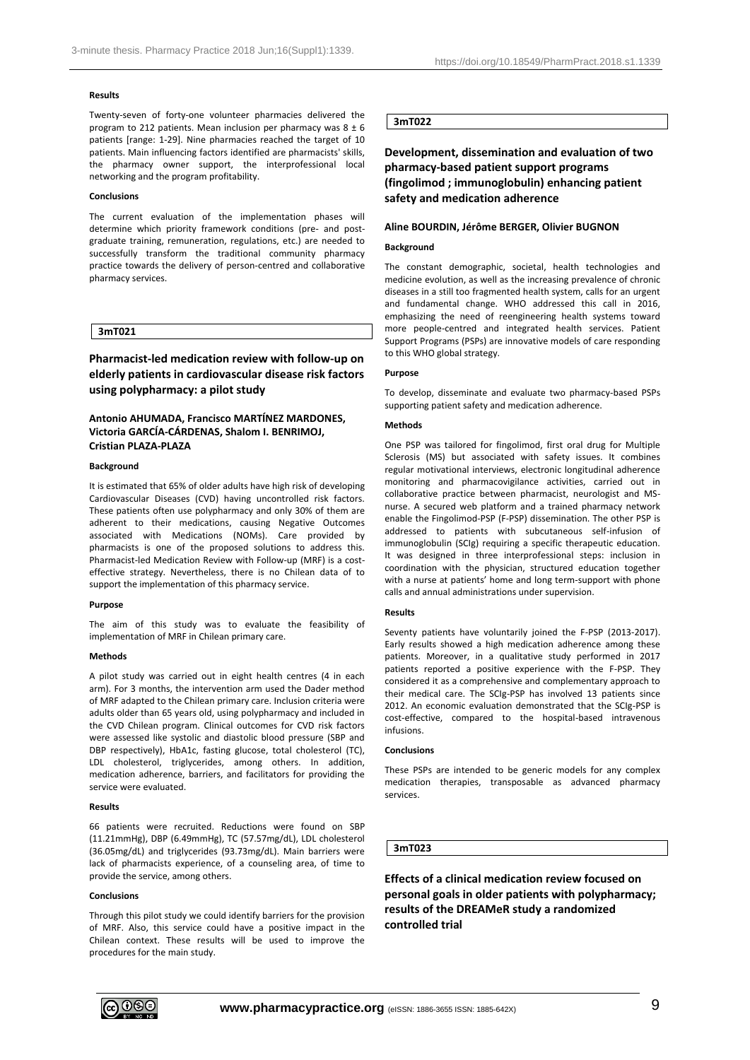# **Results**

Twenty-seven of forty-one volunteer pharmacies delivered the program to 212 patients. Mean inclusion per pharmacy was  $8 \pm 6$ patients [range: 1-29]. Nine pharmacies reached the target of 10 patients. Main influencing factors identified are pharmacists' skills, the pharmacy owner support, the interprofessional local networking and the program profitability.

### **Conclusions**

The current evaluation of the implementation phases will determine which priority framework conditions (pre- and postgraduate training, remuneration, regulations, etc.) are needed to successfully transform the traditional community pharmacy practice towards the delivery of person-centred and collaborative pharmacy services.

# **3mT021**

**Pharmacist-led medication review with follow-up on elderly patients in cardiovascular disease risk factors using polypharmacy: a pilot study**

# **Antonio AHUMADA, Francisco MARTÍNEZ MARDONES, Victoria GARCÍA-CÁRDENAS, Shalom I. BENRIMOJ, Cristian PLAZA-PLAZA**

### **Background**

It is estimated that 65% of older adults have high risk of developing Cardiovascular Diseases (CVD) having uncontrolled risk factors. These patients often use polypharmacy and only 30% of them are adherent to their medications, causing Negative Outcomes associated with Medications (NOMs). Care provided by pharmacists is one of the proposed solutions to address this. Pharmacist-led Medication Review with Follow-up (MRF) is a costeffective strategy. Nevertheless, there is no Chilean data of to support the implementation of this pharmacy service.

#### **Purpose**

The aim of this study was to evaluate the feasibility of implementation of MRF in Chilean primary care.

## **Methods**

A pilot study was carried out in eight health centres (4 in each arm). For 3 months, the intervention arm used the Dader method of MRF adapted to the Chilean primary care. Inclusion criteria were adults older than 65 years old, using polypharmacy and included in the CVD Chilean program. Clinical outcomes for CVD risk factors were assessed like systolic and diastolic blood pressure (SBP and DBP respectively), HbA1c, fasting glucose, total cholesterol (TC), LDL cholesterol, triglycerides, among others. In addition, medication adherence, barriers, and facilitators for providing the service were evaluated.

## **Results**

66 patients were recruited. Reductions were found on SBP (11.21mmHg), DBP (6.49mmHg), TC (57.57mg/dL), LDL cholesterol (36.05mg/dL) and triglycerides (93.73mg/dL). Main barriers were lack of pharmacists experience, of a counseling area, of time to provide the service, among others.

#### **Conclusions**

Through this pilot study we could identify barriers for the provision of MRF. Also, this service could have a positive impact in the Chilean context. These results will be used to improve the procedures for the main study.

# **3mT022**

# **Development, dissemination and evaluation of two pharmacy-based patient support programs (fingolimod ; immunoglobulin) enhancing patient safety and medication adherence**

# **Aline BOURDIN, Jérôme BERGER, Olivier BUGNON**

### **Background**

The constant demographic, societal, health technologies and medicine evolution, as well as the increasing prevalence of chronic diseases in a still too fragmented health system, calls for an urgent and fundamental change. WHO addressed this call in 2016, emphasizing the need of reengineering health systems toward more people-centred and integrated health services. Patient Support Programs (PSPs) are innovative models of care responding to this WHO global strategy.

### **Purpose**

To develop, disseminate and evaluate two pharmacy-based PSPs supporting patient safety and medication adherence.

#### **Methods**

One PSP was tailored for fingolimod, first oral drug for Multiple Sclerosis (MS) but associated with safety issues. It combines regular motivational interviews, electronic longitudinal adherence monitoring and pharmacovigilance activities, carried out in collaborative practice between pharmacist, neurologist and MSnurse. A secured web platform and a trained pharmacy network enable the Fingolimod-PSP (F-PSP) dissemination. The other PSP is addressed to patients with subcutaneous self-infusion of immunoglobulin (SCIg) requiring a specific therapeutic education. It was designed in three interprofessional steps: inclusion in coordination with the physician, structured education together with a nurse at patients' home and long term-support with phone calls and annual administrations under supervision.

### **Results**

Seventy patients have voluntarily joined the F-PSP (2013-2017). Early results showed a high medication adherence among these patients. Moreover, in a qualitative study performed in 2017 patients reported a positive experience with the F-PSP. They considered it as a comprehensive and complementary approach to their medical care. The SCIg-PSP has involved 13 patients since 2012. An economic evaluation demonstrated that the SCIg-PSP is cost-effective, compared to the hospital-based intravenous infusions.

# **Conclusions**

These PSPs are intended to be generic models for any complex medication therapies, transposable as advanced pharmacy services.

# **3mT023**

**Effects of a clinical medication review focused on personal goals in older patients with polypharmacy; results of the DREAMeR study a randomized controlled trial**